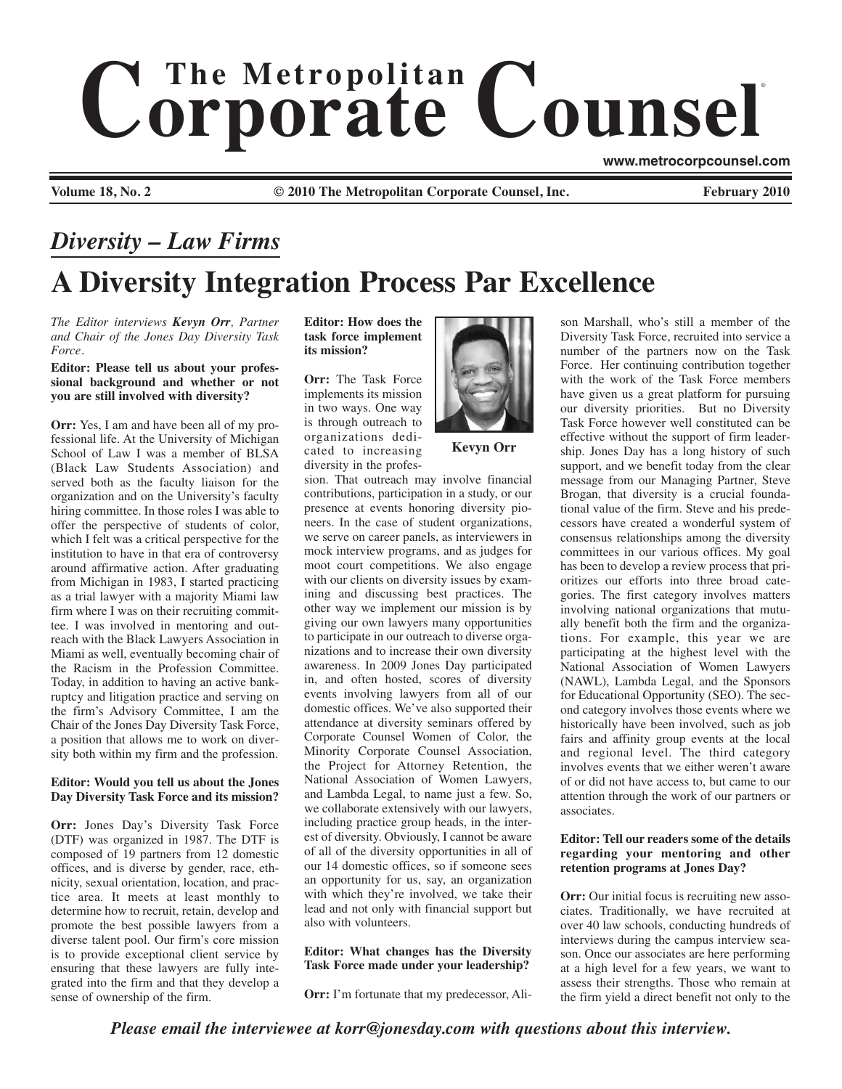# $$ ®

**www.metrocorpcounsel.com**

**Volume 18, No. 2 Cauca 2010 Cauca 2010 The Metropolitan Corporate Counsel, Inc. February 2010 February 2010** 

# **A Diversity Integration Process Par Excellence** *Diversity – Law Firms*

*The Editor interviews Kevyn Orr, Partner and Chair of the Jones Day Diversity Task Force.*

### **Editor: Please tell us about your professional background and whether or not you are still involved with diversity?**

**Orr:** Yes, I am and have been all of my professional life. At the University of Michigan School of Law I was a member of BLSA (Black Law Students Association) and served both as the faculty liaison for the organization and on the University's faculty hiring committee. In those roles I was able to offer the perspective of students of color, which I felt was a critical perspective for the institution to have in that era of controversy around affirmative action. After graduating from Michigan in 1983, I started practicing as a trial lawyer with a majority Miami law firm where I was on their recruiting committee. I was involved in mentoring and outreach with the Black Lawyers Association in Miami as well, eventually becoming chair of the Racism in the Profession Committee. Today, in addition to having an active bankruptcy and litigation practice and serving on the firm's Advisory Committee, I am the Chair of the Jones Day Diversity Task Force, a position that allows me to work on diversity both within my firm and the profession.

# **Editor: Would you tell us about the Jones Day Diversity Task Force and its mission?**

**Orr:** Jones Day's Diversity Task Force (DTF) was organized in 1987. The DTF is composed of 19 partners from 12 domestic offices, and is diverse by gender, race, ethnicity, sexual orientation, location, and practice area. It meets at least monthly to determine how to recruit, retain, develop and promote the best possible lawyers from a diverse talent pool. Our firm's core mission is to provide exceptional client service by ensuring that these lawyers are fully integrated into the firm and that they develop a sense of ownership of the firm.

**Editor: How does the task force implement its mission?** 

**Orr:** The Task Force implements its mission in two ways. One way is through outreach to organizations dedicated to increasing diversity in the profes-

sion. That outreach may involve financial contributions, participation in a study, or our presence at events honoring diversity pioneers. In the case of student organizations, we serve on career panels, as interviewers in mock interview programs, and as judges for moot court competitions. We also engage with our clients on diversity issues by examining and discussing best practices. The other way we implement our mission is by giving our own lawyers many opportunities to participate in our outreach to diverse organizations and to increase their own diversity awareness. In 2009 Jones Day participated in, and often hosted, scores of diversity events involving lawyers from all of our domestic offices. We've also supported their attendance at diversity seminars offered by Corporate Counsel Women of Color, the Minority Corporate Counsel Association, the Project for Attorney Retention, the National Association of Women Lawyers, and Lambda Legal, to name just a few. So, we collaborate extensively with our lawyers, including practice group heads, in the interest of diversity. Obviously, I cannot be aware of all of the diversity opportunities in all of our 14 domestic offices, so if someone sees an opportunity for us, say, an organization with which they're involved, we take their lead and not only with financial support but also with volunteers.

# **Editor: What changes has the Diversity Task Force made under your leadership?**

**Orr:** I'm fortunate that my predecessor, Ali-



**Kevyn Orr**

son Marshall, who's still a member of the Diversity Task Force, recruited into service a number of the partners now on the Task Force. Her continuing contribution together with the work of the Task Force members have given us a great platform for pursuing our diversity priorities. But no Diversity Task Force however well constituted can be effective without the support of firm leadership. Jones Day has a long history of such support, and we benefit today from the clear message from our Managing Partner, Steve Brogan, that diversity is a crucial foundational value of the firm. Steve and his predecessors have created a wonderful system of consensus relationships among the diversity committees in our various offices. My goal has been to develop a review process that prioritizes our efforts into three broad categories. The first category involves matters involving national organizations that mutually benefit both the firm and the organizations. For example, this year we are participating at the highest level with the National Association of Women Lawyers (NAWL), Lambda Legal, and the Sponsors for Educational Opportunity (SEO). The second category involves those events where we historically have been involved, such as job fairs and affinity group events at the local and regional level. The third category involves events that we either weren't aware of or did not have access to, but came to our attention through the work of our partners or associates.

# **Editor: Tell our readers some of the details regarding your mentoring and other retention programs at Jones Day?**

**Orr:** Our initial focus is recruiting new associates. Traditionally, we have recruited at over 40 law schools, conducting hundreds of interviews during the campus interview season. Once our associates are here performing at a high level for a few years, we want to assess their strengths. Those who remain at the firm yield a direct benefit not only to the